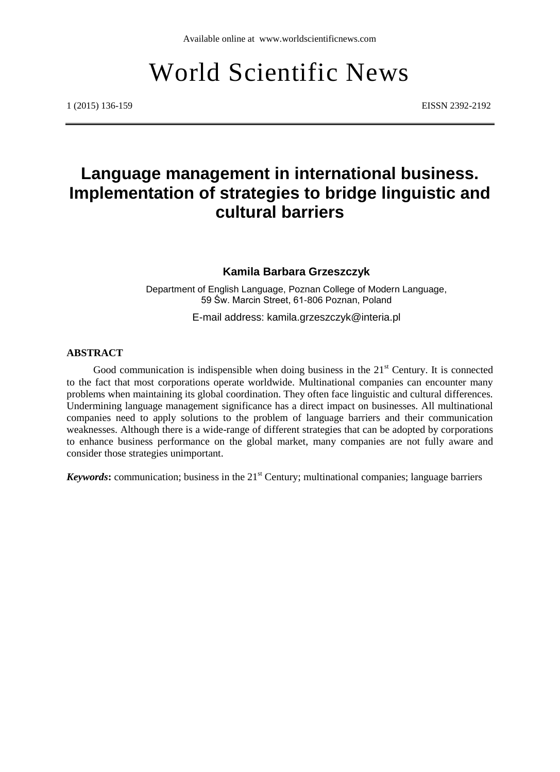# World Scientific News

1 (2015) 136-159 EISSN 2392-2192

# **Language management in international business. Implementation of strategies to bridge linguistic and cultural barriers**

#### **Kamila Barbara Grzeszczyk**

Department of English Language, Poznan College of Modern Language, 59 Św. Marcin Street, 61-806 Poznan, Poland

E-mail address: kamila.grzeszczyk@interia.pl

#### **ABSTRACT**

Good communication is indispensible when doing business in the  $21<sup>st</sup>$  Century. It is connected to the fact that most corporations operate worldwide. Multinational companies can encounter many problems when maintaining its global coordination. They often face linguistic and cultural differences. Undermining language management significance has a direct impact on businesses. All multinational companies need to apply solutions to the problem of language barriers and their communication weaknesses. Although there is a wide-range of different strategies that can be adopted by corporations to enhance business performance on the global market, many companies are not fully aware and consider those strategies unimportant.

*Keywords*: communication; business in the 21<sup>st</sup> Century; multinational companies; language barriers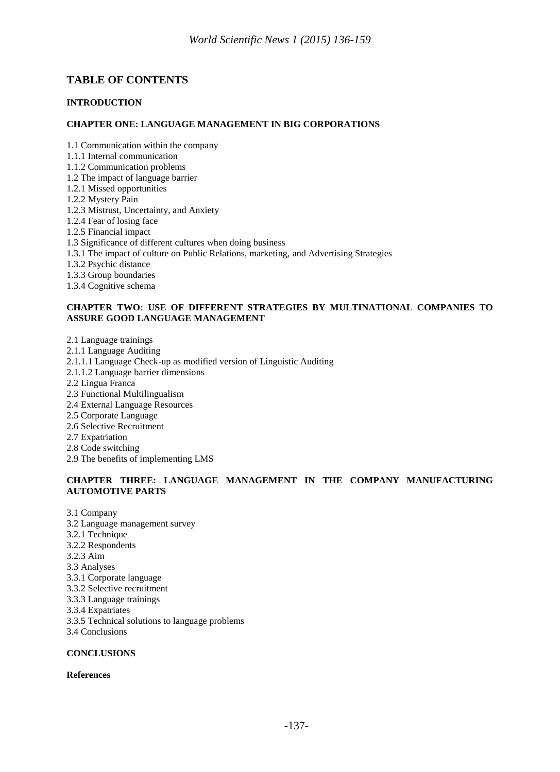# **TABLE OF CONTENTS**

#### **INTRODUCTION**

#### **CHAPTER ONE: LANGUAGE MANAGEMENT IN BIG CORPORATIONS**

1.1 Communication within the company

- 1.1.1 Internal communication
- 1.1.2 Communication problems
- 1.2 The impact of language barrier
- 1.2.1 Missed opportunities
- 1.2.2 Mystery Pain
- 1.2.3 Mistrust, Uncertainty, and Anxiety
- 1.2.4 Fear of losing face
- 1.2.5 Financial impact
- 1.3 Significance of different cultures when doing business
- 1.3.1 The impact of culture on Public Relations, marketing, and Advertising Strategies
- 1.3.2 Psychic distance
- 1.3.3 Group boundaries
- 1.3.4 Cognitive schema

#### **CHAPTER TWO: USE OF DIFFERENT STRATEGIES BY MULTINATIONAL COMPANIES TO ASSURE GOOD LANGUAGE MANAGEMENT**

- 2.1 Language trainings
- 2.1.1 Language Auditing
- 2.1.1.1 Language Check-up as modified version of Linguistic Auditing
- 2.1.1.2 Language barrier dimensions
- 2.2 Lingua Franca
- 2.3 Functional Multilingualism
- 2.4 External Language Resources
- 2.5 Corporate Language
- 2.6 Selective Recruitment
- 2.7 Expatriation
- 2.8 Code switching
- 2.9 The benefits of implementing LMS

#### **CHAPTER THREE: LANGUAGE MANAGEMENT IN THE COMPANY MANUFACTURING AUTOMOTIVE PARTS**

- 3.1 Company
- 3.2 Language management survey
- 3.2.1 Technique
- 3.2.2 Respondents
- 3.2.3 Aim
- 3.3 Analyses
- 3.3.1 Corporate language
- 3.3.2 Selective recruitment
- 3.3.3 Language trainings
- 3.3.4 Expatriates
- 3.3.5 Technical solutions to language problems
- 3.4 Conclusions

#### **CONCLUSIONS**

#### **References**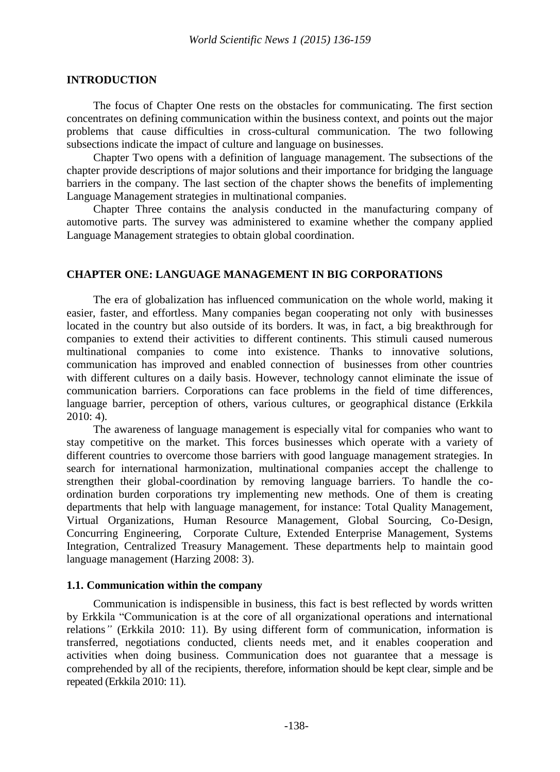#### **INTRODUCTION**

The focus of Chapter One rests on the obstacles for communicating. The first section concentrates on defining communication within the business context, and points out the major problems that cause difficulties in cross-cultural communication. The two following subsections indicate the impact of culture and language on businesses.

Chapter Two opens with a definition of language management. The subsections of the chapter provide descriptions of major solutions and their importance for bridging the language barriers in the company. The last section of the chapter shows the benefits of implementing Language Management strategies in multinational companies.

Chapter Three contains the analysis conducted in the manufacturing company of automotive parts. The survey was administered to examine whether the company applied Language Management strategies to obtain global coordination.

#### **CHAPTER ONE: LANGUAGE MANAGEMENT IN BIG CORPORATIONS**

The era of globalization has influenced communication on the whole world, making it easier, faster, and effortless. Many companies began cooperating not only with businesses located in the country but also outside of its borders. It was, in fact, a big breakthrough for companies to extend their activities to different continents. This stimuli caused numerous multinational companies to come into existence. Thanks to innovative solutions, communication has improved and enabled connection of businesses from other countries with different cultures on a daily basis. However, technology cannot eliminate the issue of communication barriers. Corporations can face problems in the field of time differences, language barrier, perception of others, various cultures, or geographical distance (Erkkila  $2010:4$ ).

The awareness of language management is especially vital for companies who want to stay competitive on the market. This forces businesses which operate with a variety of different countries to overcome those barriers with good language management strategies. In search for international harmonization, multinational companies accept the challenge to strengthen their global-coordination by removing language barriers. To handle the coordination burden corporations try implementing new methods. One of them is creating departments that help with language management, for instance: Total Quality Management, Virtual Organizations, Human Resource Management, Global Sourcing, Co-Design, Concurring Engineering, Corporate Culture, Extended Enterprise Management, Systems Integration, Centralized Treasury Management. These departments help to maintain good language management (Harzing 2008: 3).

#### **1.1. Communication within the company**

Communication is indispensible in business, this fact is best reflected by words written by Erkkila "Communication is at the core of all organizational operations and international relations*"* (Erkkila 2010: 11). By using different form of communication, information is transferred, negotiations conducted, clients needs met, and it enables cooperation and activities when doing business. Communication does not guarantee that a message is comprehended by all of the recipients, therefore, information should be kept clear, simple and be repeated (Erkkila 2010: 11).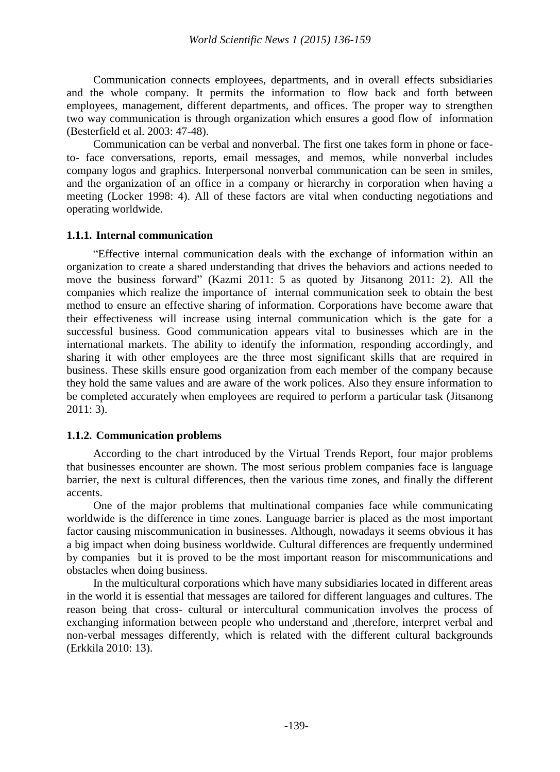Communication connects employees, departments, and in overall effects subsidiaries and the whole company. It permits the information to flow back and forth between employees, management, different departments, and offices. The proper way to strengthen two way communication is through organization which ensures a good flow of information (Besterfield et al. 2003: 47-48).

Communication can be verbal and nonverbal. The first one takes form in phone or faceto- face conversations, reports, email messages, and memos, while nonverbal includes company logos and graphics. Interpersonal nonverbal communication can be seen in smiles, and the organization of an office in a company or hierarchy in corporation when having a meeting (Locker 1998: 4). All of these factors are vital when conducting negotiations and operating worldwide.

# **1.1.1. Internal communication**

"Effective internal communication deals with the exchange of information within an organization to create a shared understanding that drives the behaviors and actions needed to move the business forward" (Kazmi 2011: 5 as quoted by Jitsanong 2011: 2). All the companies which realize the importance of internal communication seek to obtain the best method to ensure an effective sharing of information. Corporations have become aware that their effectiveness will increase using internal communication which is the gate for a successful business. Good communication appears vital to businesses which are in the international markets. The ability to identify the information, responding accordingly, and sharing it with other employees are the three most significant skills that are required in business. These skills ensure good organization from each member of the company because they hold the same values and are aware of the work polices. Also they ensure information to be completed accurately when employees are required to perform a particular task (Jitsanong 2011: 3).

# **1.1.2. Communication problems**

According to the chart introduced by the Virtual Trends Report, four major problems that businesses encounter are shown. The most serious problem companies face is language barrier, the next is cultural differences, then the various time zones, and finally the different accents.

One of the major problems that multinational companies face while communicating worldwide is the difference in time zones. Language barrier is placed as the most important factor causing miscommunication in businesses. Although, nowadays it seems obvious it has a big impact when doing business worldwide. Cultural differences are frequently undermined by companies but it is proved to be the most important reason for miscommunications and obstacles when doing business.

In the multicultural corporations which have many subsidiaries located in different areas in the world it is essential that messages are tailored for different languages and cultures. The reason being that cross- cultural or intercultural communication involves the process of exchanging information between people who understand and ,therefore, interpret verbal and non-verbal messages differently, which is related with the different cultural backgrounds (Erkkila 2010: 13).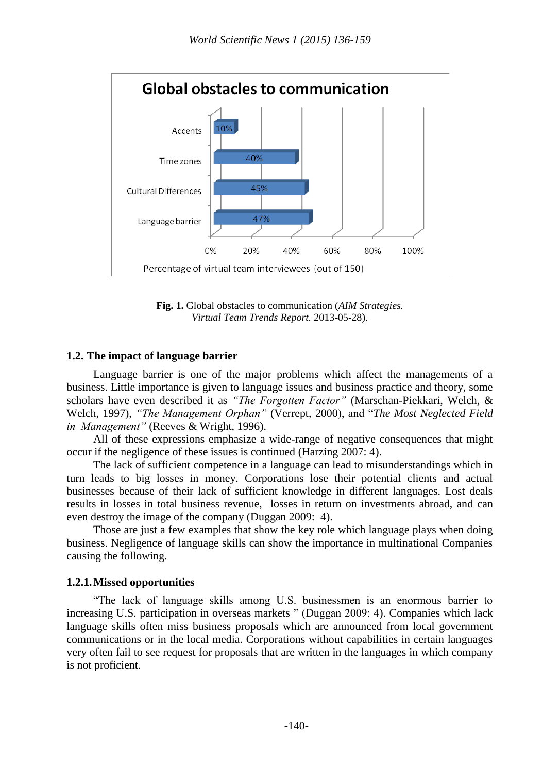

**Fig. 1.** Global obstacles to communication (*AIM Strategies. Virtual Team Trends Report.* 2013-05-28).

# **1.2. The impact of language barrier**

Language barrier is one of the major problems which affect the managements of a business. Little importance is given to language issues and business practice and theory, some scholars have even described it as *"The Forgotten Factor"* (Marschan-Piekkari, Welch, & Welch, 1997), *"The Management Orphan"* (Verrept, 2000), and "*The Most Neglected Field in Management"* (Reeves & Wright, 1996).

All of these expressions emphasize a wide-range of negative consequences that might occur if the negligence of these issues is continued (Harzing 2007: 4).

The lack of sufficient competence in a language can lead to misunderstandings which in turn leads to big losses in money. Corporations lose their potential clients and actual businesses because of their lack of sufficient knowledge in different languages. Lost deals results in losses in total business revenue, losses in return on investments abroad, and can even destroy the image of the company (Duggan 2009: 4).

Those are just a few examples that show the key role which language plays when doing business. Negligence of language skills can show the importance in multinational Companies causing the following.

# **1.2.1.Missed opportunities**

"The lack of language skills among U.S. businessmen is an enormous barrier to increasing U.S. participation in overseas markets " (Duggan 2009: 4). Companies which lack language skills often miss business proposals which are announced from local government communications or in the local media. Corporations without capabilities in certain languages very often fail to see request for proposals that are written in the languages in which company is not proficient.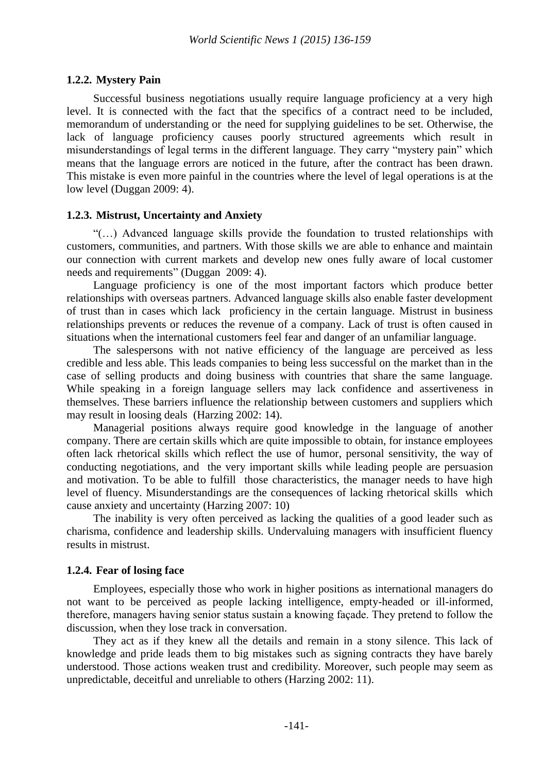# **1.2.2. Mystery Pain**

Successful business negotiations usually require language proficiency at a very high level. It is connected with the fact that the specifics of a contract need to be included, memorandum of understanding or the need for supplying guidelines to be set. Otherwise, the lack of language proficiency causes poorly structured agreements which result in misunderstandings of legal terms in the different language. They carry "mystery pain" which means that the language errors are noticed in the future, after the contract has been drawn. This mistake is even more painful in the countries where the level of legal operations is at the low level (Duggan 2009: 4).

# **1.2.3. Mistrust, Uncertainty and Anxiety**

"(…) Advanced language skills provide the foundation to trusted relationships with customers, communities, and partners. With those skills we are able to enhance and maintain our connection with current markets and develop new ones fully aware of local customer needs and requirements" (Duggan 2009: 4).

Language proficiency is one of the most important factors which produce better relationships with overseas partners. Advanced language skills also enable faster development of trust than in cases which lack proficiency in the certain language. Mistrust in business relationships prevents or reduces the revenue of a company. Lack of trust is often caused in situations when the international customers feel fear and danger of an unfamiliar language.

The salespersons with not native efficiency of the language are perceived as less credible and less able. This leads companies to being less successful on the market than in the case of selling products and doing business with countries that share the same language. While speaking in a foreign language sellers may lack confidence and assertiveness in themselves. These barriers influence the relationship between customers and suppliers which may result in loosing deals (Harzing 2002: 14).

Managerial positions always require good knowledge in the language of another company. There are certain skills which are quite impossible to obtain, for instance employees often lack rhetorical skills which reflect the use of humor, personal sensitivity, the way of conducting negotiations, and the very important skills while leading people are persuasion and motivation. To be able to fulfill those characteristics, the manager needs to have high level of fluency. Misunderstandings are the consequences of lacking rhetorical skills which cause anxiety and uncertainty (Harzing 2007: 10)

The inability is very often perceived as lacking the qualities of a good leader such as charisma, confidence and leadership skills. Undervaluing managers with insufficient fluency results in mistrust.

# **1.2.4. Fear of losing face**

Employees, especially those who work in higher positions as international managers do not want to be perceived as people lacking intelligence, empty-headed or ill-informed, therefore, managers having senior status sustain a knowing façade. They pretend to follow the discussion, when they lose track in conversation.

They act as if they knew all the details and remain in a stony silence. This lack of knowledge and pride leads them to big mistakes such as signing contracts they have barely understood. Those actions weaken trust and credibility. Moreover, such people may seem as unpredictable, deceitful and unreliable to others (Harzing 2002: 11).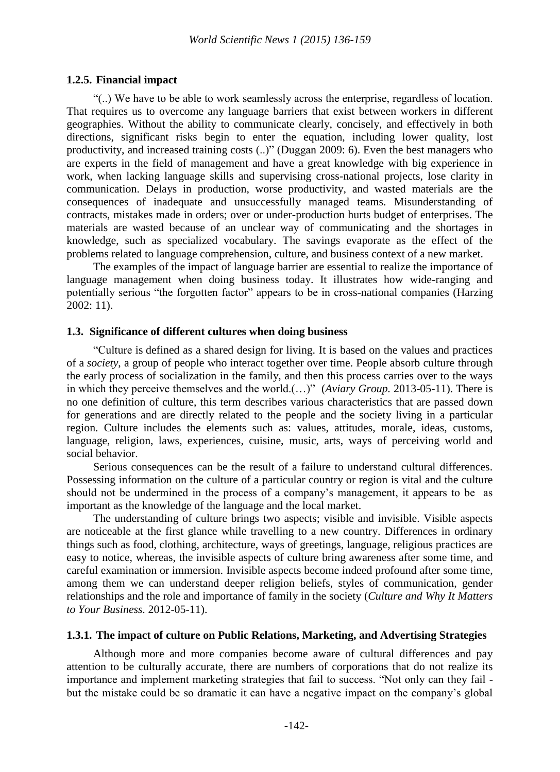#### **1.2.5. Financial impact**

"(..) We have to be able to work seamlessly across the enterprise, regardless of location. That requires us to overcome any language barriers that exist between workers in different geographies. Without the ability to communicate clearly, concisely, and effectively in both directions, significant risks begin to enter the equation, including lower quality, lost productivity, and increased training costs (..)" (Duggan 2009: 6). Even the best managers who are experts in the field of management and have a great knowledge with big experience in work, when lacking language skills and supervising cross-national projects, lose clarity in communication. Delays in production, worse productivity, and wasted materials are the consequences of inadequate and unsuccessfully managed teams. Misunderstanding of contracts, mistakes made in orders; over or under-production hurts budget of enterprises. The materials are wasted because of an unclear way of communicating and the shortages in knowledge, such as specialized vocabulary. The savings evaporate as the effect of the problems related to language comprehension, culture, and business context of a new market.

The examples of the impact of language barrier are essential to realize the importance of language management when doing business today. It illustrates how wide-ranging and potentially serious "the forgotten factor" appears to be in cross-national companies (Harzing 2002: 11).

#### **1.3. Significance of different cultures when doing business**

"Culture is defined as a shared design for living. It is based on the values and practices of a *society*, a group of people who interact together over time. People absorb culture through the early process of socialization in the family, and then this process carries over to the ways in which they perceive themselves and the world.(…)" (*Aviary Group.* 2013-05-11). There is no one definition of culture, this term describes various characteristics that are passed down for generations and are directly related to the people and the society living in a particular region. Culture includes the elements such as: values, attitudes, morale, ideas, customs, language, religion, laws, experiences, cuisine, music, arts, ways of perceiving world and social behavior.

Serious consequences can be the result of a failure to understand cultural differences. Possessing information on the culture of a particular country or region is vital and the culture should not be undermined in the process of a company"s management, it appears to be as important as the knowledge of the language and the local market.

The understanding of culture brings two aspects; visible and invisible. Visible aspects are noticeable at the first glance while travelling to a new country. Differences in ordinary things such as food, clothing, architecture, ways of greetings, language, religious practices are easy to notice, whereas, the invisible aspects of culture bring awareness after some time, and careful examination or immersion. Invisible aspects become indeed profound after some time, among them we can understand deeper religion beliefs, styles of communication, gender relationships and the role and importance of family in the society (*Culture and Why It Matters to Your Business.* 2012-05-11).

# **1.3.1. The impact of culture on Public Relations, Marketing, and Advertising Strategies**

Although more and more companies become aware of cultural differences and pay attention to be culturally accurate, there are numbers of corporations that do not realize its importance and implement marketing strategies that fail to success. "Not only can they fail but the mistake could be so dramatic it can have a negative impact on the company"s global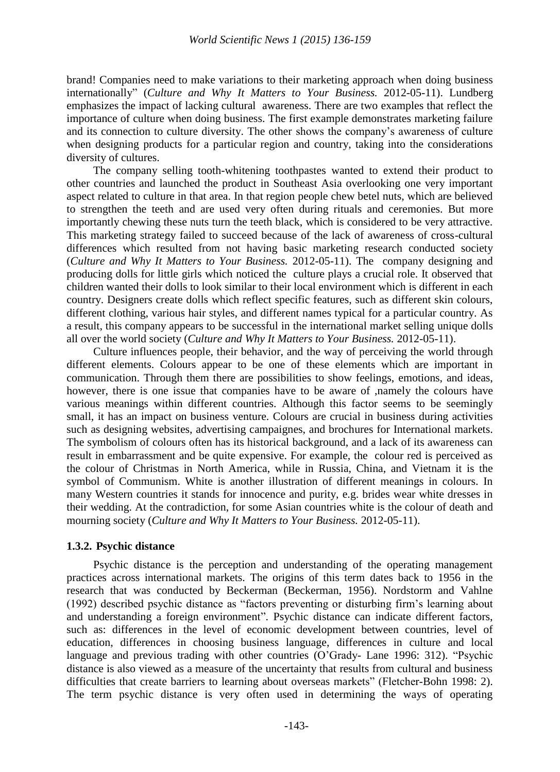brand! Companies need to make variations to their marketing approach when doing business internationally" (*Culture and Why It Matters to Your Business.* 2012-05-11). Lundberg emphasizes the impact of lacking cultural awareness. There are two examples that reflect the importance of culture when doing business. The first example demonstrates marketing failure and its connection to culture diversity. The other shows the company"s awareness of culture when designing products for a particular region and country, taking into the considerations diversity of cultures.

The company selling tooth-whitening toothpastes wanted to extend their product to other countries and launched the product in Southeast Asia overlooking one very important aspect related to culture in that area. In that region people chew betel nuts, which are believed to strengthen the teeth and are used very often during rituals and ceremonies. But more importantly chewing these nuts turn the teeth black, which is considered to be very attractive. This marketing strategy failed to succeed because of the lack of awareness of cross-cultural differences which resulted from not having basic marketing research conducted society (*Culture and Why It Matters to Your Business.* 2012-05-11). The company designing and producing dolls for little girls which noticed the culture plays a crucial role. It observed that children wanted their dolls to look similar to their local environment which is different in each country. Designers create dolls which reflect specific features, such as different skin colours, different clothing, various hair styles, and different names typical for a particular country. As a result, this company appears to be successful in the international market selling unique dolls all over the world society (*Culture and Why It Matters to Your Business.* 2012-05-11).

Culture influences people, their behavior, and the way of perceiving the world through different elements. Colours appear to be one of these elements which are important in communication. Through them there are possibilities to show feelings, emotions, and ideas, however, there is one issue that companies have to be aware of ,namely the colours have various meanings within different countries. Although this factor seems to be seemingly small, it has an impact on business venture. Colours are crucial in business during activities such as designing websites, advertising campaignes, and brochures for International markets. The symbolism of colours often has its historical background, and a lack of its awareness can result in embarrassment and be quite expensive. For example, the colour red is perceived as the colour of Christmas in North America, while in Russia, China, and Vietnam it is the symbol of Communism. White is another illustration of different meanings in colours. In many Western countries it stands for innocence and purity, e.g. brides wear white dresses in their wedding. At the contradiction, for some Asian countries white is the colour of death and mourning society (*Culture and Why It Matters to Your Business.* 2012-05-11).

# **1.3.2. Psychic distance**

Psychic distance is the perception and understanding of the operating management practices across international markets. The origins of this term dates back to 1956 in the research that was conducted by Beckerman (Beckerman, 1956). Nordstorm and Vahlne (1992) described psychic distance as "factors preventing or disturbing firm"s learning about and understanding a foreign environment". Psychic distance can indicate different factors, such as: differences in the level of economic development between countries, level of education, differences in choosing business language, differences in culture and local language and previous trading with other countries (O"Grady- Lane 1996: 312). "Psychic distance is also viewed as a measure of the uncertainty that results from cultural and business difficulties that create barriers to learning about overseas markets" (Fletcher-Bohn 1998: 2). The term psychic distance is very often used in determining the ways of operating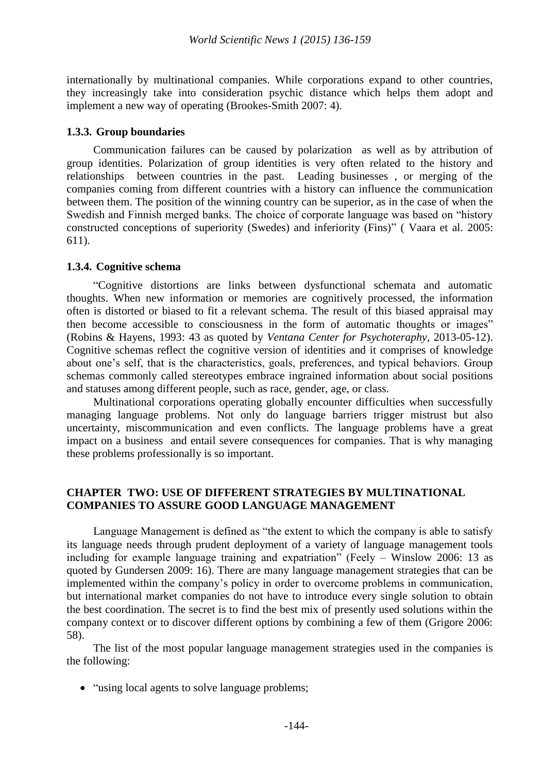internationally by multinational companies. While corporations expand to other countries, they increasingly take into consideration psychic distance which helps them adopt and implement a new way of operating (Brookes-Smith 2007: 4).

#### **1.3.3. Group boundaries**

Communication failures can be caused by polarization as well as by attribution of group identities. Polarization of group identities is very often related to the history and relationships between countries in the past. Leading businesses , or merging of the companies coming from different countries with a history can influence the communication between them. The position of the winning country can be superior, as in the case of when the Swedish and Finnish merged banks. The choice of corporate language was based on "history constructed conceptions of superiority (Swedes) and inferiority (Fins)" ( Vaara et al. 2005: 611).

#### **1.3.4. Cognitive schema**

"Cognitive distortions are links between dysfunctional schemata and automatic thoughts. When new information or memories are cognitively processed, the information often is distorted or biased to fit a relevant schema. The result of this biased appraisal may then become accessible to consciousness in the form of automatic thoughts or images" (Robins & Hayens, 1993: 43 as quoted by *Ventana Center for Psychoteraphy*, 2013-05-12). Cognitive schemas reflect the cognitive version of identities and it comprises of knowledge about one's self, that is the characteristics, goals, preferences, and typical behaviors. Group schemas commonly called stereotypes embrace ingrained information about social positions and statuses among different people, such as race, gender, age, or class.

Multinational corporations operating globally encounter difficulties when successfully managing language problems. Not only do language barriers trigger mistrust but also uncertainty, miscommunication and even conflicts. The language problems have a great impact on a business and entail severe consequences for companies. That is why managing these problems professionally is so important.

#### **CHAPTER TWO: USE OF DIFFERENT STRATEGIES BY MULTINATIONAL COMPANIES TO ASSURE GOOD LANGUAGE MANAGEMENT**

Language Management is defined as "the extent to which the company is able to satisfy its language needs through prudent deployment of a variety of language management tools including for example language training and expatriation" (Feely – Winslow 2006: 13 as quoted by Gundersen 2009: 16). There are many language management strategies that can be implemented within the company"s policy in order to overcome problems in communication, but international market companies do not have to introduce every single solution to obtain the best coordination. The secret is to find the best mix of presently used solutions within the company context or to discover different options by combining a few of them (Grigore 2006: 58).

The list of the most popular language management strategies used in the companies is the following:

• "using local agents to solve language problems;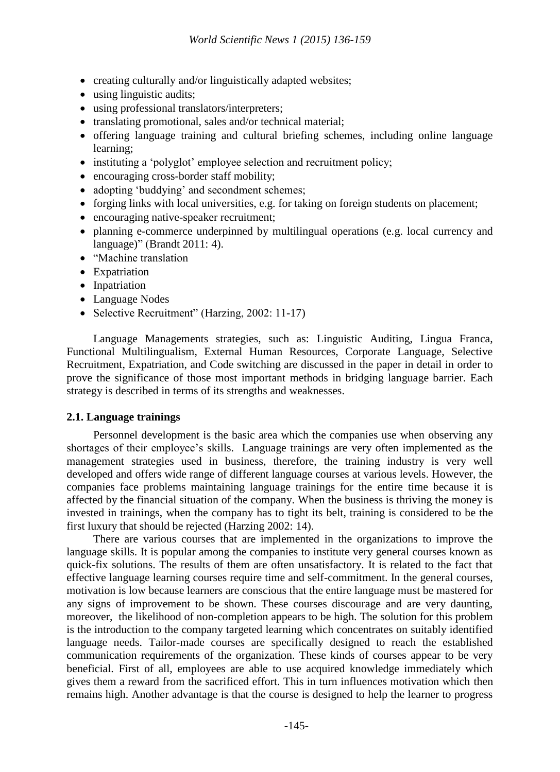- creating culturally and/or linguistically adapted websites;
- using linguistic audits;
- using professional translators/interpreters;
- translating promotional, sales and/or technical material;
- offering language training and cultural briefing schemes, including online language learning;
- instituting a 'polyglot' employee selection and recruitment policy;
- encouraging cross-border staff mobility;
- adopting 'buddying' and secondment schemes;
- forging links with local universities, e.g. for taking on foreign students on placement;
- encouraging native-speaker recruitment;
- planning e-commerce underpinned by multilingual operations (e.g. local currency and language)" (Brandt 2011: 4).
- "Machine translation
- Expatriation
- Inpatriation
- Language Nodes
- Selective Recruitment" (Harzing, 2002: 11-17)

Language Managements strategies, such as: Linguistic Auditing, Lingua Franca, Functional Multilingualism, External Human Resources, Corporate Language, Selective Recruitment, Expatriation, and Code switching are discussed in the paper in detail in order to prove the significance of those most important methods in bridging language barrier. Each strategy is described in terms of its strengths and weaknesses.

# **2.1. Language trainings**

Personnel development is the basic area which the companies use when observing any shortages of their employee's skills. Language trainings are very often implemented as the management strategies used in business, therefore, the training industry is very well developed and offers wide range of different language courses at various levels. However, the companies face problems maintaining language trainings for the entire time because it is affected by the financial situation of the company. When the business is thriving the money is invested in trainings, when the company has to tight its belt, training is considered to be the first luxury that should be rejected (Harzing 2002: 14).

There are various courses that are implemented in the organizations to improve the language skills. It is popular among the companies to institute very general courses known as quick-fix solutions. The results of them are often unsatisfactory. It is related to the fact that effective language learning courses require time and self-commitment. In the general courses, motivation is low because learners are conscious that the entire language must be mastered for any signs of improvement to be shown. These courses discourage and are very daunting, moreover, the likelihood of non-completion appears to be high. The solution for this problem is the introduction to the company targeted learning which concentrates on suitably identified language needs. Tailor-made courses are specifically designed to reach the established communication requirements of the organization. These kinds of courses appear to be very beneficial. First of all, employees are able to use acquired knowledge immediately which gives them a reward from the sacrificed effort. This in turn influences motivation which then remains high. Another advantage is that the course is designed to help the learner to progress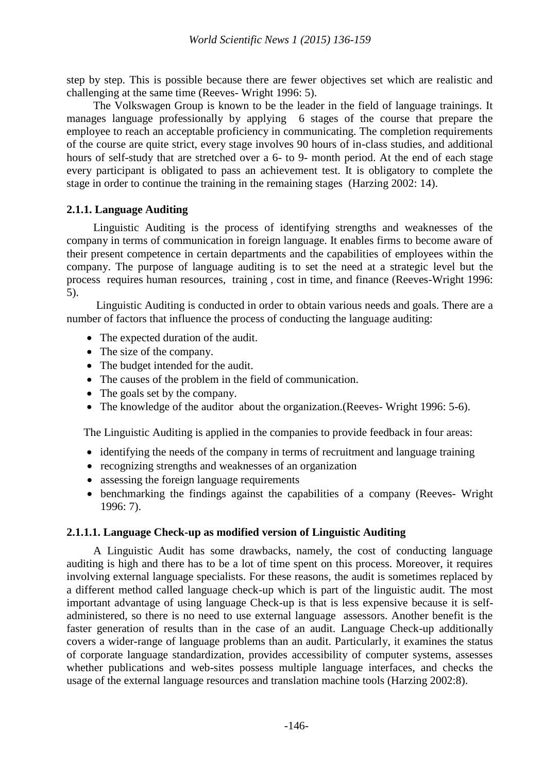step by step. This is possible because there are fewer objectives set which are realistic and challenging at the same time (Reeves- Wright 1996: 5).

The Volkswagen Group is known to be the leader in the field of language trainings. It manages language professionally by applying 6 stages of the course that prepare the employee to reach an acceptable proficiency in communicating. The completion requirements of the course are quite strict, every stage involves 90 hours of in-class studies, and additional hours of self-study that are stretched over a 6- to 9- month period. At the end of each stage every participant is obligated to pass an achievement test. It is obligatory to complete the stage in order to continue the training in the remaining stages (Harzing 2002: 14).

#### **2.1.1. Language Auditing**

Linguistic Auditing is the process of identifying strengths and weaknesses of the company in terms of communication in foreign language. It enables firms to become aware of their present competence in certain departments and the capabilities of employees within the company. The purpose of language auditing is to set the need at a strategic level but the process requires human resources, training , cost in time, and finance (Reeves-Wright 1996: 5).

Linguistic Auditing is conducted in order to obtain various needs and goals. There are a number of factors that influence the process of conducting the language auditing:

- The expected duration of the audit.
- The size of the company.
- The budget intended for the audit.
- The causes of the problem in the field of communication.
- The goals set by the company.
- The knowledge of the auditor about the organization. (Reeves-Wright 1996: 5-6).

The Linguistic Auditing is applied in the companies to provide feedback in four areas:

- identifying the needs of the company in terms of recruitment and language training
- recognizing strengths and weaknesses of an organization
- assessing the foreign language requirements
- benchmarking the findings against the capabilities of a company (Reeves- Wright 1996: 7).

# **2.1.1.1. Language Check-up as modified version of Linguistic Auditing**

A Linguistic Audit has some drawbacks, namely, the cost of conducting language auditing is high and there has to be a lot of time spent on this process. Moreover, it requires involving external language specialists. For these reasons, the audit is sometimes replaced by a different method called language check-up which is part of the linguistic audit. The most important advantage of using language Check-up is that is less expensive because it is selfadministered, so there is no need to use external language assessors. Another benefit is the faster generation of results than in the case of an audit. Language Check-up additionally covers a wider-range of language problems than an audit. Particularly, it examines the status of corporate language standardization, provides accessibility of computer systems, assesses whether publications and web-sites possess multiple language interfaces, and checks the usage of the external language resources and translation machine tools (Harzing 2002:8).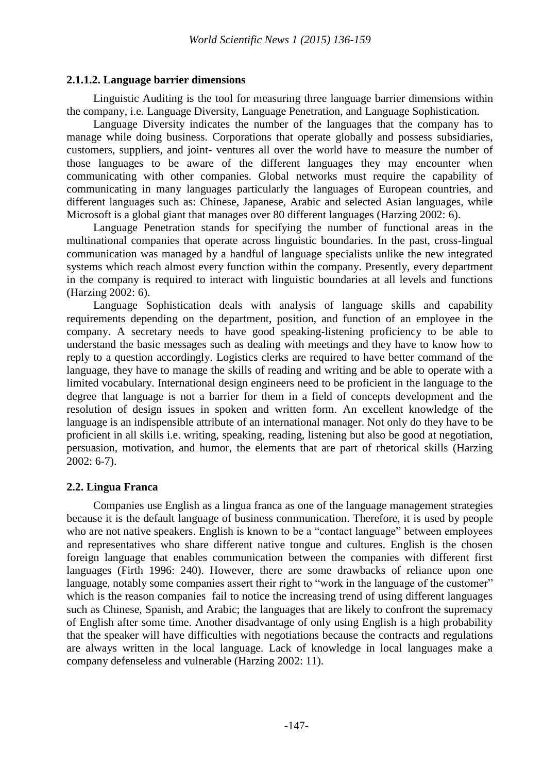# **2.1.1.2. Language barrier dimensions**

Linguistic Auditing is the tool for measuring three language barrier dimensions within the company, i.e. Language Diversity, Language Penetration, and Language Sophistication.

Language Diversity indicates the number of the languages that the company has to manage while doing business. Corporations that operate globally and possess subsidiaries, customers, suppliers, and joint- ventures all over the world have to measure the number of those languages to be aware of the different languages they may encounter when communicating with other companies. Global networks must require the capability of communicating in many languages particularly the languages of European countries, and different languages such as: Chinese, Japanese, Arabic and selected Asian languages, while Microsoft is a global giant that manages over 80 different languages (Harzing 2002: 6).

Language Penetration stands for specifying the number of functional areas in the multinational companies that operate across linguistic boundaries. In the past, cross-lingual communication was managed by a handful of language specialists unlike the new integrated systems which reach almost every function within the company. Presently, every department in the company is required to interact with linguistic boundaries at all levels and functions (Harzing 2002: 6).

Language Sophistication deals with analysis of language skills and capability requirements depending on the department, position, and function of an employee in the company. A secretary needs to have good speaking-listening proficiency to be able to understand the basic messages such as dealing with meetings and they have to know how to reply to a question accordingly. Logistics clerks are required to have better command of the language, they have to manage the skills of reading and writing and be able to operate with a limited vocabulary. International design engineers need to be proficient in the language to the degree that language is not a barrier for them in a field of concepts development and the resolution of design issues in spoken and written form. An excellent knowledge of the language is an indispensible attribute of an international manager. Not only do they have to be proficient in all skills i.e. writing, speaking, reading, listening but also be good at negotiation, persuasion, motivation, and humor, the elements that are part of rhetorical skills (Harzing 2002: 6-7).

# **2.2. Lingua Franca**

Companies use English as a lingua franca as one of the language management strategies because it is the default language of business communication. Therefore, it is used by people who are not native speakers. English is known to be a "contact language" between employees and representatives who share different native tongue and cultures. English is the chosen foreign language that enables communication between the companies with different first languages (Firth 1996: 240). However, there are some drawbacks of reliance upon one language, notably some companies assert their right to "work in the language of the customer" which is the reason companies fail to notice the increasing trend of using different languages such as Chinese, Spanish, and Arabic; the languages that are likely to confront the supremacy of English after some time. Another disadvantage of only using English is a high probability that the speaker will have difficulties with negotiations because the contracts and regulations are always written in the local language. Lack of knowledge in local languages make a company defenseless and vulnerable (Harzing 2002: 11).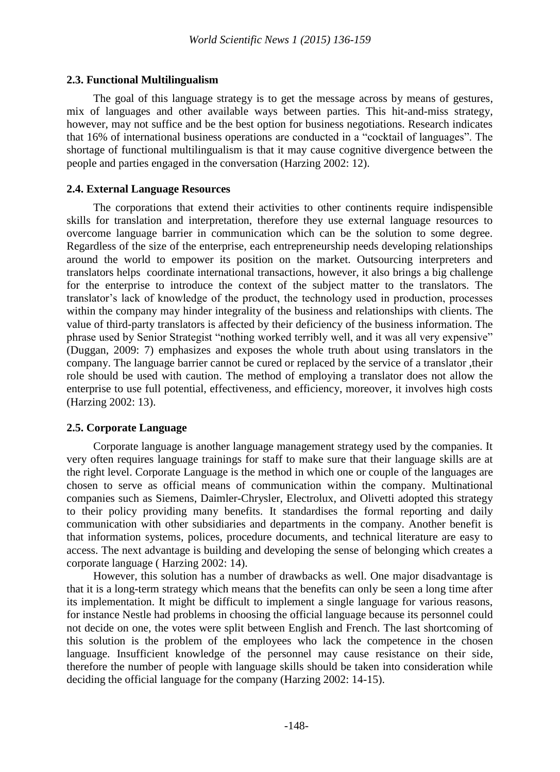# **2.3. Functional Multilingualism**

The goal of this language strategy is to get the message across by means of gestures, mix of languages and other available ways between parties. This hit-and-miss strategy, however, may not suffice and be the best option for business negotiations. Research indicates that 16% of international business operations are conducted in a "cocktail of languages". The shortage of functional multilingualism is that it may cause cognitive divergence between the people and parties engaged in the conversation (Harzing 2002: 12).

# **2.4. External Language Resources**

The corporations that extend their activities to other continents require indispensible skills for translation and interpretation, therefore they use external language resources to overcome language barrier in communication which can be the solution to some degree. Regardless of the size of the enterprise, each entrepreneurship needs developing relationships around the world to empower its position on the market. Outsourcing interpreters and translators helps coordinate international transactions, however, it also brings a big challenge for the enterprise to introduce the context of the subject matter to the translators. The translator"s lack of knowledge of the product, the technology used in production, processes within the company may hinder integrality of the business and relationships with clients. The value of third-party translators is affected by their deficiency of the business information. The phrase used by Senior Strategist "nothing worked terribly well, and it was all very expensive" (Duggan, 2009: 7) emphasizes and exposes the whole truth about using translators in the company. The language barrier cannot be cured or replaced by the service of a translator ,their role should be used with caution. The method of employing a translator does not allow the enterprise to use full potential, effectiveness, and efficiency, moreover, it involves high costs (Harzing 2002: 13).

# **2.5. Corporate Language**

Corporate language is another language management strategy used by the companies. It very often requires language trainings for staff to make sure that their language skills are at the right level. Corporate Language is the method in which one or couple of the languages are chosen to serve as official means of communication within the company. Multinational companies such as Siemens, Daimler-Chrysler, Electrolux, and Olivetti adopted this strategy to their policy providing many benefits. It standardises the formal reporting and daily communication with other subsidiaries and departments in the company. Another benefit is that information systems, polices, procedure documents, and technical literature are easy to access. The next advantage is building and developing the sense of belonging which creates a corporate language ( Harzing 2002: 14).

However, this solution has a number of drawbacks as well. One major disadvantage is that it is a long-term strategy which means that the benefits can only be seen a long time after its implementation. It might be difficult to implement a single language for various reasons, for instance Nestle had problems in choosing the official language because its personnel could not decide on one, the votes were split between English and French. The last shortcoming of this solution is the problem of the employees who lack the competence in the chosen language. Insufficient knowledge of the personnel may cause resistance on their side, therefore the number of people with language skills should be taken into consideration while deciding the official language for the company (Harzing 2002: 14-15).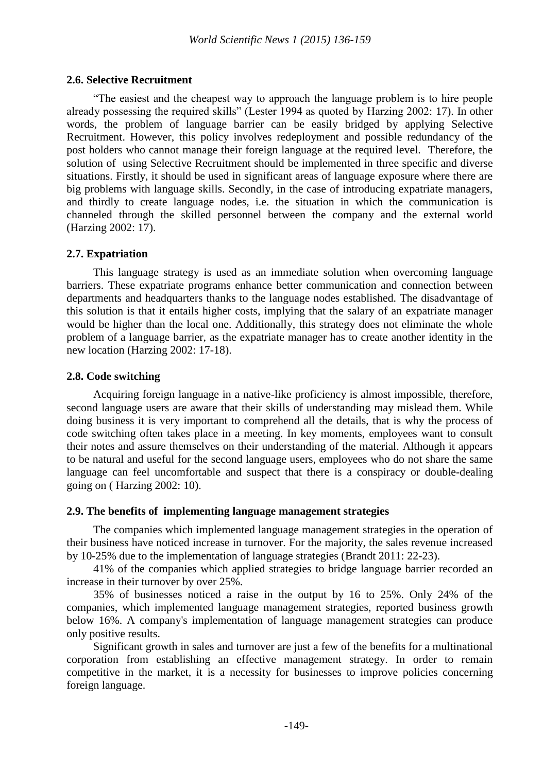#### **2.6. Selective Recruitment**

"The easiest and the cheapest way to approach the language problem is to hire people already possessing the required skills" (Lester 1994 as quoted by Harzing 2002: 17). In other words, the problem of language barrier can be easily bridged by applying Selective Recruitment. However, this policy involves redeployment and possible redundancy of the post holders who cannot manage their foreign language at the required level. Therefore, the solution of using Selective Recruitment should be implemented in three specific and diverse situations. Firstly, it should be used in significant areas of language exposure where there are big problems with language skills. Secondly, in the case of introducing expatriate managers, and thirdly to create language nodes, i.e. the situation in which the communication is channeled through the skilled personnel between the company and the external world (Harzing 2002: 17).

#### **2.7. Expatriation**

This language strategy is used as an immediate solution when overcoming language barriers. These expatriate programs enhance better communication and connection between departments and headquarters thanks to the language nodes established. The disadvantage of this solution is that it entails higher costs, implying that the salary of an expatriate manager would be higher than the local one. Additionally, this strategy does not eliminate the whole problem of a language barrier, as the expatriate manager has to create another identity in the new location (Harzing 2002: 17-18).

# **2.8. Code switching**

Acquiring foreign language in a native-like proficiency is almost impossible, therefore, second language users are aware that their skills of understanding may mislead them. While doing business it is very important to comprehend all the details, that is why the process of code switching often takes place in a meeting. In key moments, employees want to consult their notes and assure themselves on their understanding of the material. Although it appears to be natural and useful for the second language users, employees who do not share the same language can feel uncomfortable and suspect that there is a conspiracy or double-dealing going on ( Harzing 2002: 10).

# **2.9. The benefits of implementing language management strategies**

The companies which implemented language management strategies in the operation of their business have noticed increase in turnover. For the majority, the sales revenue increased by 10-25% due to the implementation of language strategies (Brandt 2011: 22-23).

41% of the companies which applied strategies to bridge language barrier recorded an increase in their turnover by over 25%.

35% of businesses noticed a raise in the output by 16 to 25%. Only 24% of the companies, which implemented language management strategies, reported business growth below 16%. A company's implementation of language management strategies can produce only positive results.

Significant growth in sales and turnover are just a few of the benefits for a multinational corporation from establishing an effective management strategy. In order to remain competitive in the market, it is a necessity for businesses to improve policies concerning foreign language.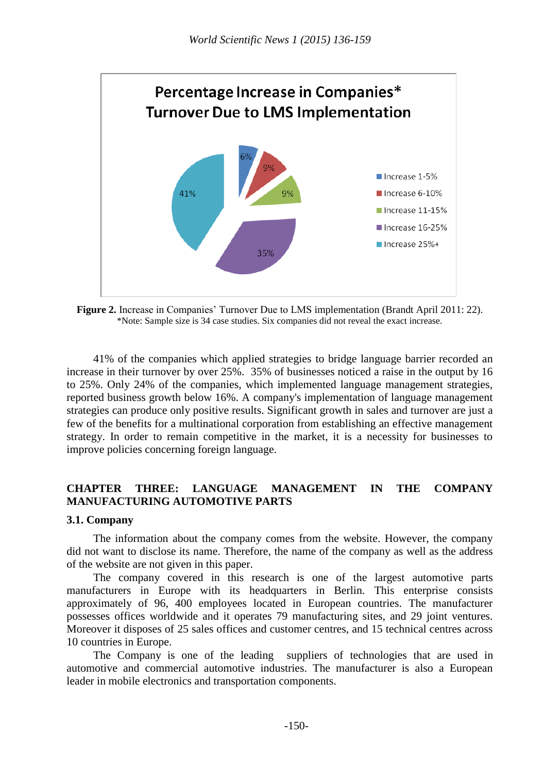

Figure 2. Increase in Companies' Turnover Due to LMS implementation (Brandt April 2011: 22). \*Note: Sample size is 34 case studies. Six companies did not reveal the exact increase.

41% of the companies which applied strategies to bridge language barrier recorded an increase in their turnover by over 25%. 35% of businesses noticed a raise in the output by 16 to 25%. Only 24% of the companies, which implemented language management strategies, reported business growth below 16%. A company's implementation of language management strategies can produce only positive results. Significant growth in sales and turnover are just a few of the benefits for a multinational corporation from establishing an effective management strategy. In order to remain competitive in the market, it is a necessity for businesses to improve policies concerning foreign language.

# **CHAPTER THREE: LANGUAGE MANAGEMENT IN THE COMPANY MANUFACTURING AUTOMOTIVE PARTS**

# **3.1. Company**

The information about the company comes from the website. However, the company did not want to disclose its name. Therefore, the name of the company as well as the address of the website are not given in this paper.

The company covered in this research is one of the largest automotive parts manufacturers in Europe with its headquarters in Berlin. This enterprise consists approximately of 96, 400 employees located in European countries. The manufacturer possesses offices worldwide and it operates 79 manufacturing sites, and 29 joint ventures. Moreover it disposes of 25 sales offices and customer centres, and 15 technical centres across 10 countries in Europe.

The Company is one of the leading suppliers of technologies that are used in automotive and commercial automotive industries. The manufacturer is also a European leader in mobile electronics and transportation components.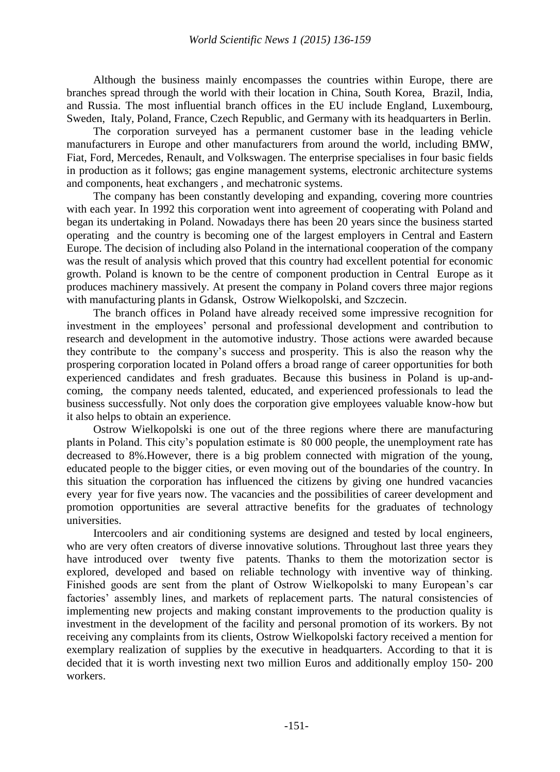Although the business mainly encompasses the countries within Europe, there are branches spread through the world with their location in China, South Korea, Brazil, India, and Russia. The most influential branch offices in the EU include England, Luxembourg, Sweden, Italy, Poland, France, Czech Republic, and Germany with its headquarters in Berlin.

The corporation surveyed has a permanent customer base in the leading vehicle manufacturers in Europe and other manufacturers from around the world, including BMW, Fiat, Ford, Mercedes, Renault, and Volkswagen. The enterprise specialises in four basic fields in production as it follows; gas engine management systems, electronic architecture systems and components, heat exchangers , and mechatronic systems.

The company has been constantly developing and expanding, covering more countries with each year. In 1992 this corporation went into agreement of cooperating with Poland and began its undertaking in Poland. Nowadays there has been 20 years since the business started operating and the country is becoming one of the largest employers in Central and Eastern Europe. The decision of including also Poland in the international cooperation of the company was the result of analysis which proved that this country had excellent potential for economic growth. Poland is known to be the centre of component production in Central Europe as it produces machinery massively. At present the company in Poland covers three major regions with manufacturing plants in Gdansk, Ostrow Wielkopolski, and Szczecin.

The branch offices in Poland have already received some impressive recognition for investment in the employees" personal and professional development and contribution to research and development in the automotive industry. Those actions were awarded because they contribute to the company"s success and prosperity. This is also the reason why the prospering corporation located in Poland offers a broad range of career opportunities for both experienced candidates and fresh graduates. Because this business in Poland is up-andcoming, the company needs talented, educated, and experienced professionals to lead the business successfully. Not only does the corporation give employees valuable know-how but it also helps to obtain an experience.

Ostrow Wielkopolski is one out of the three regions where there are manufacturing plants in Poland. This city"s population estimate is 80 000 people, the unemployment rate has decreased to 8%.However, there is a big problem connected with migration of the young, educated people to the bigger cities, or even moving out of the boundaries of the country. In this situation the corporation has influenced the citizens by giving one hundred vacancies every year for five years now. The vacancies and the possibilities of career development and promotion opportunities are several attractive benefits for the graduates of technology universities.

Intercoolers and air conditioning systems are designed and tested by local engineers, who are very often creators of diverse innovative solutions. Throughout last three years they have introduced over twenty five patents. Thanks to them the motorization sector is explored, developed and based on reliable technology with inventive way of thinking. Finished goods are sent from the plant of Ostrow Wielkopolski to many European"s car factories' assembly lines, and markets of replacement parts. The natural consistencies of implementing new projects and making constant improvements to the production quality is investment in the development of the facility and personal promotion of its workers. By not receiving any complaints from its clients, Ostrow Wielkopolski factory received a mention for exemplary realization of supplies by the executive in headquarters. According to that it is decided that it is worth investing next two million Euros and additionally employ 150- 200 workers.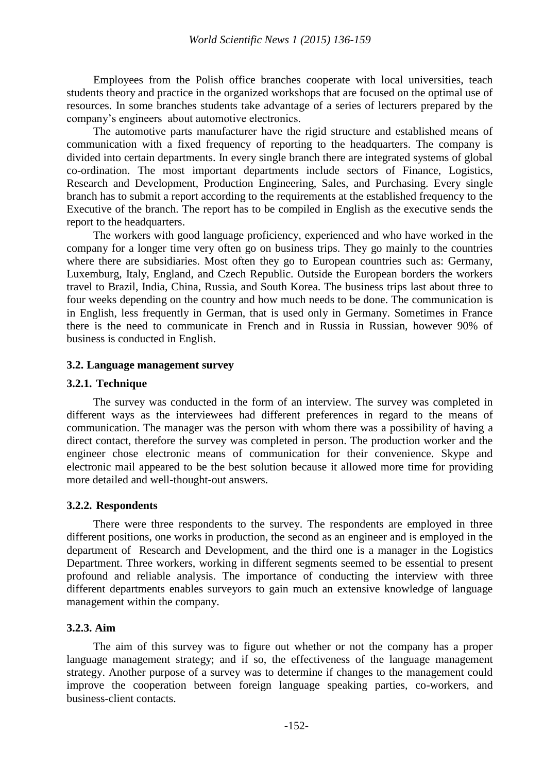Employees from the Polish office branches cooperate with local universities, teach students theory and practice in the organized workshops that are focused on the optimal use of resources. In some branches students take advantage of a series of lecturers prepared by the company"s engineers about automotive electronics.

The automotive parts manufacturer have the rigid structure and established means of communication with a fixed frequency of reporting to the headquarters. The company is divided into certain departments. In every single branch there are integrated systems of global co-ordination. The most important departments include sectors of Finance, Logistics, Research and Development, Production Engineering, Sales, and Purchasing. Every single branch has to submit a report according to the requirements at the established frequency to the Executive of the branch. The report has to be compiled in English as the executive sends the report to the headquarters.

The workers with good language proficiency, experienced and who have worked in the company for a longer time very often go on business trips. They go mainly to the countries where there are subsidiaries. Most often they go to European countries such as: Germany, Luxemburg, Italy, England, and Czech Republic. Outside the European borders the workers travel to Brazil, India, China, Russia, and South Korea. The business trips last about three to four weeks depending on the country and how much needs to be done. The communication is in English, less frequently in German, that is used only in Germany. Sometimes in France there is the need to communicate in French and in Russia in Russian, however 90% of business is conducted in English.

#### **3.2. Language management survey**

#### **3.2.1. Technique**

The survey was conducted in the form of an interview. The survey was completed in different ways as the interviewees had different preferences in regard to the means of communication. The manager was the person with whom there was a possibility of having a direct contact, therefore the survey was completed in person. The production worker and the engineer chose electronic means of communication for their convenience. Skype and electronic mail appeared to be the best solution because it allowed more time for providing more detailed and well-thought-out answers.

#### **3.2.2. Respondents**

There were three respondents to the survey. The respondents are employed in three different positions, one works in production, the second as an engineer and is employed in the department of Research and Development, and the third one is a manager in the Logistics Department. Three workers, working in different segments seemed to be essential to present profound and reliable analysis. The importance of conducting the interview with three different departments enables surveyors to gain much an extensive knowledge of language management within the company.

# **3.2.3. Aim**

The aim of this survey was to figure out whether or not the company has a proper language management strategy; and if so, the effectiveness of the language management strategy. Another purpose of a survey was to determine if changes to the management could improve the cooperation between foreign language speaking parties, co-workers, and business-client contacts.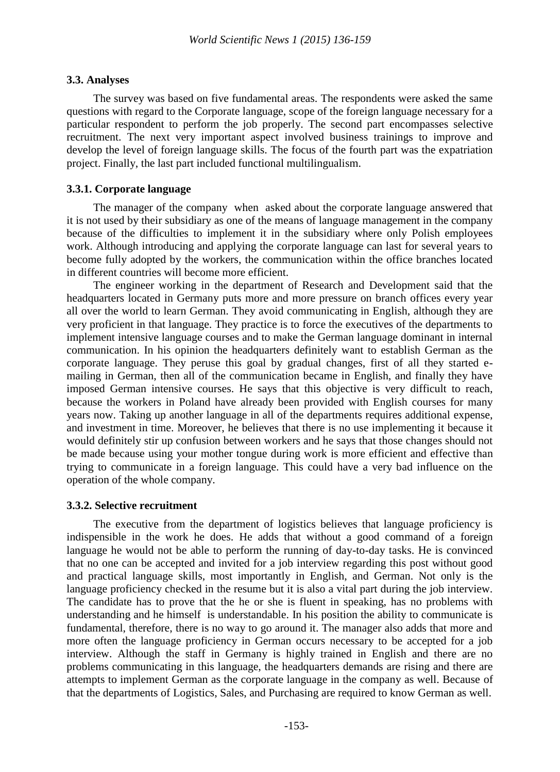# **3.3. Analyses**

The survey was based on five fundamental areas. The respondents were asked the same questions with regard to the Corporate language, scope of the foreign language necessary for a particular respondent to perform the job properly. The second part encompasses selective recruitment. The next very important aspect involved business trainings to improve and develop the level of foreign language skills. The focus of the fourth part was the expatriation project. Finally, the last part included functional multilingualism.

# **3.3.1. Corporate language**

The manager of the company when asked about the corporate language answered that it is not used by their subsidiary as one of the means of language management in the company because of the difficulties to implement it in the subsidiary where only Polish employees work. Although introducing and applying the corporate language can last for several years to become fully adopted by the workers, the communication within the office branches located in different countries will become more efficient.

The engineer working in the department of Research and Development said that the headquarters located in Germany puts more and more pressure on branch offices every year all over the world to learn German. They avoid communicating in English, although they are very proficient in that language. They practice is to force the executives of the departments to implement intensive language courses and to make the German language dominant in internal communication. In his opinion the headquarters definitely want to establish German as the corporate language. They peruse this goal by gradual changes, first of all they started emailing in German, then all of the communication became in English, and finally they have imposed German intensive courses. He says that this objective is very difficult to reach, because the workers in Poland have already been provided with English courses for many years now. Taking up another language in all of the departments requires additional expense, and investment in time. Moreover, he believes that there is no use implementing it because it would definitely stir up confusion between workers and he says that those changes should not be made because using your mother tongue during work is more efficient and effective than trying to communicate in a foreign language. This could have a very bad influence on the operation of the whole company.

# **3.3.2. Selective recruitment**

The executive from the department of logistics believes that language proficiency is indispensible in the work he does. He adds that without a good command of a foreign language he would not be able to perform the running of day-to-day tasks. He is convinced that no one can be accepted and invited for a job interview regarding this post without good and practical language skills, most importantly in English, and German. Not only is the language proficiency checked in the resume but it is also a vital part during the job interview. The candidate has to prove that the he or she is fluent in speaking, has no problems with understanding and he himself is understandable. In his position the ability to communicate is fundamental, therefore, there is no way to go around it. The manager also adds that more and more often the language proficiency in German occurs necessary to be accepted for a job interview. Although the staff in Germany is highly trained in English and there are no problems communicating in this language, the headquarters demands are rising and there are attempts to implement German as the corporate language in the company as well. Because of that the departments of Logistics, Sales, and Purchasing are required to know German as well.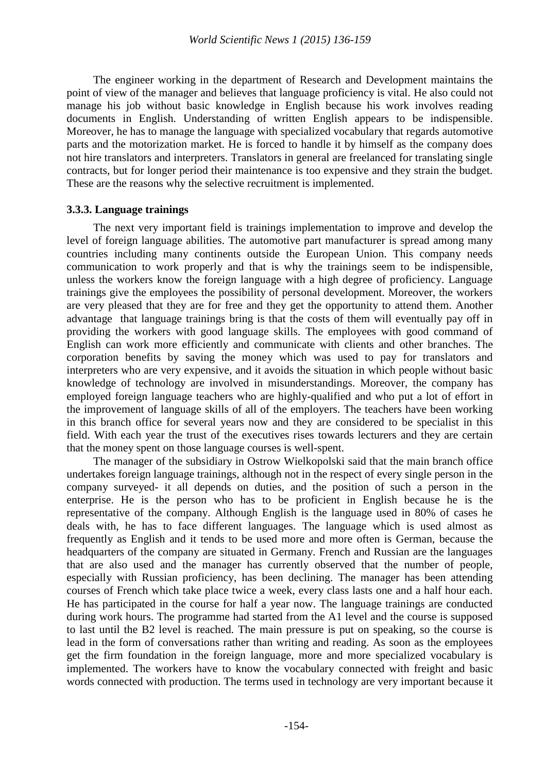The engineer working in the department of Research and Development maintains the point of view of the manager and believes that language proficiency is vital. He also could not manage his job without basic knowledge in English because his work involves reading documents in English. Understanding of written English appears to be indispensible. Moreover, he has to manage the language with specialized vocabulary that regards automotive parts and the motorization market. He is forced to handle it by himself as the company does not hire translators and interpreters. Translators in general are freelanced for translating single contracts, but for longer period their maintenance is too expensive and they strain the budget. These are the reasons why the selective recruitment is implemented.

#### **3.3.3. Language trainings**

The next very important field is trainings implementation to improve and develop the level of foreign language abilities. The automotive part manufacturer is spread among many countries including many continents outside the European Union. This company needs communication to work properly and that is why the trainings seem to be indispensible, unless the workers know the foreign language with a high degree of proficiency. Language trainings give the employees the possibility of personal development. Moreover, the workers are very pleased that they are for free and they get the opportunity to attend them. Another advantage that language trainings bring is that the costs of them will eventually pay off in providing the workers with good language skills. The employees with good command of English can work more efficiently and communicate with clients and other branches. The corporation benefits by saving the money which was used to pay for translators and interpreters who are very expensive, and it avoids the situation in which people without basic knowledge of technology are involved in misunderstandings. Moreover, the company has employed foreign language teachers who are highly-qualified and who put a lot of effort in the improvement of language skills of all of the employers. The teachers have been working in this branch office for several years now and they are considered to be specialist in this field. With each year the trust of the executives rises towards lecturers and they are certain that the money spent on those language courses is well-spent.

The manager of the subsidiary in Ostrow Wielkopolski said that the main branch office undertakes foreign language trainings, although not in the respect of every single person in the company surveyed- it all depends on duties, and the position of such a person in the enterprise. He is the person who has to be proficient in English because he is the representative of the company. Although English is the language used in 80% of cases he deals with, he has to face different languages. The language which is used almost as frequently as English and it tends to be used more and more often is German, because the headquarters of the company are situated in Germany. French and Russian are the languages that are also used and the manager has currently observed that the number of people, especially with Russian proficiency, has been declining. The manager has been attending courses of French which take place twice a week, every class lasts one and a half hour each. He has participated in the course for half a year now. The language trainings are conducted during work hours. The programme had started from the A1 level and the course is supposed to last until the B2 level is reached. The main pressure is put on speaking, so the course is lead in the form of conversations rather than writing and reading. As soon as the employees get the firm foundation in the foreign language, more and more specialized vocabulary is implemented. The workers have to know the vocabulary connected with freight and basic words connected with production. The terms used in technology are very important because it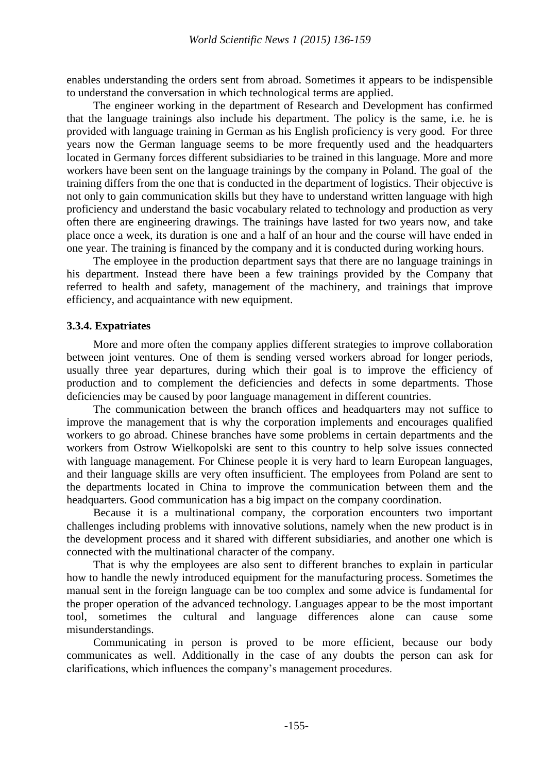enables understanding the orders sent from abroad. Sometimes it appears to be indispensible to understand the conversation in which technological terms are applied.

The engineer working in the department of Research and Development has confirmed that the language trainings also include his department. The policy is the same, i.e. he is provided with language training in German as his English proficiency is very good. For three years now the German language seems to be more frequently used and the headquarters located in Germany forces different subsidiaries to be trained in this language. More and more workers have been sent on the language trainings by the company in Poland. The goal of the training differs from the one that is conducted in the department of logistics. Their objective is not only to gain communication skills but they have to understand written language with high proficiency and understand the basic vocabulary related to technology and production as very often there are engineering drawings. The trainings have lasted for two years now, and take place once a week, its duration is one and a half of an hour and the course will have ended in one year. The training is financed by the company and it is conducted during working hours.

The employee in the production department says that there are no language trainings in his department. Instead there have been a few trainings provided by the Company that referred to health and safety, management of the machinery, and trainings that improve efficiency, and acquaintance with new equipment.

#### **3.3.4. Expatriates**

More and more often the company applies different strategies to improve collaboration between joint ventures. One of them is sending versed workers abroad for longer periods, usually three year departures, during which their goal is to improve the efficiency of production and to complement the deficiencies and defects in some departments. Those deficiencies may be caused by poor language management in different countries.

The communication between the branch offices and headquarters may not suffice to improve the management that is why the corporation implements and encourages qualified workers to go abroad. Chinese branches have some problems in certain departments and the workers from Ostrow Wielkopolski are sent to this country to help solve issues connected with language management. For Chinese people it is very hard to learn European languages, and their language skills are very often insufficient. The employees from Poland are sent to the departments located in China to improve the communication between them and the headquarters. Good communication has a big impact on the company coordination.

Because it is a multinational company, the corporation encounters two important challenges including problems with innovative solutions, namely when the new product is in the development process and it shared with different subsidiaries, and another one which is connected with the multinational character of the company.

That is why the employees are also sent to different branches to explain in particular how to handle the newly introduced equipment for the manufacturing process. Sometimes the manual sent in the foreign language can be too complex and some advice is fundamental for the proper operation of the advanced technology. Languages appear to be the most important tool, sometimes the cultural and language differences alone can cause some misunderstandings.

Communicating in person is proved to be more efficient, because our body communicates as well. Additionally in the case of any doubts the person can ask for clarifications, which influences the company"s management procedures.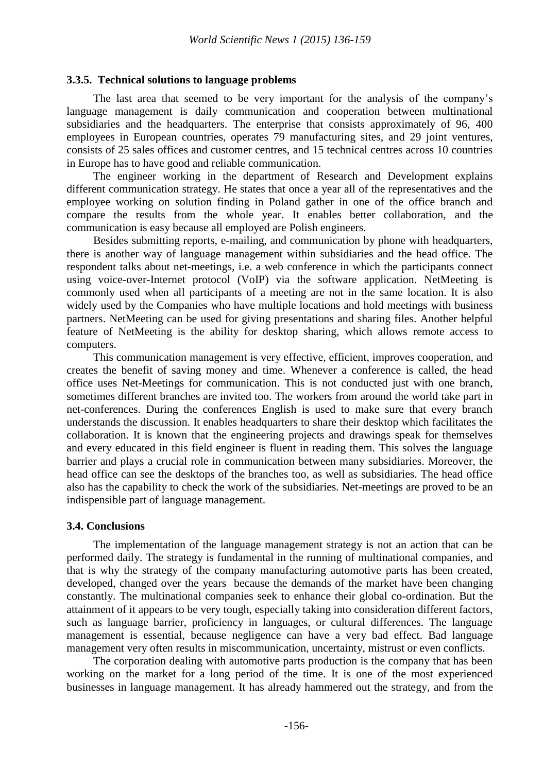# **3.3.5. Technical solutions to language problems**

The last area that seemed to be very important for the analysis of the company"s language management is daily communication and cooperation between multinational subsidiaries and the headquarters. The enterprise that consists approximately of 96, 400 employees in European countries, operates 79 manufacturing sites, and 29 joint ventures, consists of 25 sales offices and customer centres, and 15 technical centres across 10 countries in Europe has to have good and reliable communication.

The engineer working in the department of Research and Development explains different communication strategy. He states that once a year all of the representatives and the employee working on solution finding in Poland gather in one of the office branch and compare the results from the whole year. It enables better collaboration, and the communication is easy because all employed are Polish engineers.

Besides submitting reports, e-mailing, and communication by phone with headquarters, there is another way of language management within subsidiaries and the head office. The respondent talks about net-meetings, i.e. a web conference in which the participants connect using voice-over-Internet protocol (VoIP) via the software application. NetMeeting is commonly used when all participants of a meeting are not in the same location. It is also widely used by the Companies who have multiple locations and hold meetings with business partners. NetMeeting can be used for giving presentations and sharing files. Another helpful feature of NetMeeting is the ability for desktop sharing, which allows remote access to computers.

This communication management is very effective, efficient, improves cooperation, and creates the benefit of saving money and time. Whenever a conference is called, the head office uses Net-Meetings for communication. This is not conducted just with one branch, sometimes different branches are invited too. The workers from around the world take part in net-conferences. During the conferences English is used to make sure that every branch understands the discussion. It enables headquarters to share their desktop which facilitates the collaboration. It is known that the engineering projects and drawings speak for themselves and every educated in this field engineer is fluent in reading them. This solves the language barrier and plays a crucial role in communication between many subsidiaries. Moreover, the head office can see the desktops of the branches too, as well as subsidiaries. The head office also has the capability to check the work of the subsidiaries. Net-meetings are proved to be an indispensible part of language management.

# **3.4. Conclusions**

The implementation of the language management strategy is not an action that can be performed daily. The strategy is fundamental in the running of multinational companies, and that is why the strategy of the company manufacturing automotive parts has been created, developed, changed over the years because the demands of the market have been changing constantly. The multinational companies seek to enhance their global co-ordination. But the attainment of it appears to be very tough, especially taking into consideration different factors, such as language barrier, proficiency in languages, or cultural differences. The language management is essential, because negligence can have a very bad effect. Bad language management very often results in miscommunication, uncertainty, mistrust or even conflicts.

The corporation dealing with automotive parts production is the company that has been working on the market for a long period of the time. It is one of the most experienced businesses in language management. It has already hammered out the strategy, and from the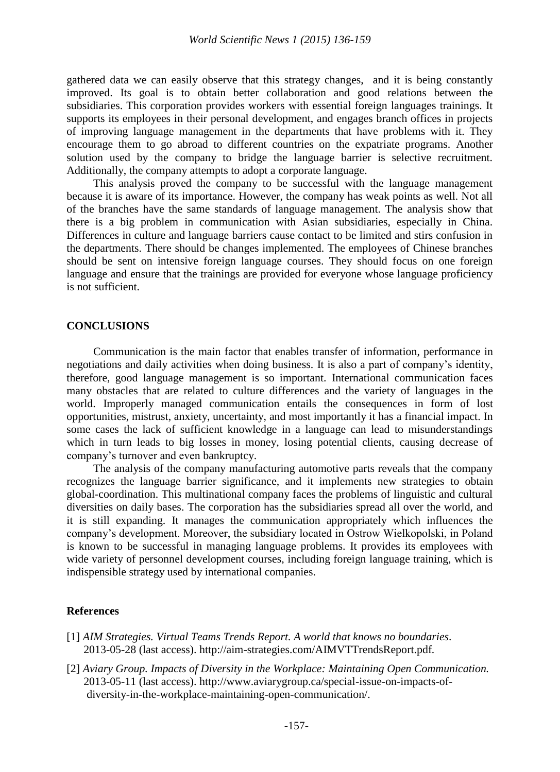gathered data we can easily observe that this strategy changes, and it is being constantly improved. Its goal is to obtain better collaboration and good relations between the subsidiaries. This corporation provides workers with essential foreign languages trainings. It supports its employees in their personal development, and engages branch offices in projects of improving language management in the departments that have problems with it. They encourage them to go abroad to different countries on the expatriate programs. Another solution used by the company to bridge the language barrier is selective recruitment. Additionally, the company attempts to adopt a corporate language.

This analysis proved the company to be successful with the language management because it is aware of its importance. However, the company has weak points as well. Not all of the branches have the same standards of language management. The analysis show that there is a big problem in communication with Asian subsidiaries, especially in China. Differences in culture and language barriers cause contact to be limited and stirs confusion in the departments. There should be changes implemented. The employees of Chinese branches should be sent on intensive foreign language courses. They should focus on one foreign language and ensure that the trainings are provided for everyone whose language proficiency is not sufficient.

#### **CONCLUSIONS**

Communication is the main factor that enables transfer of information, performance in negotiations and daily activities when doing business. It is also a part of company"s identity, therefore, good language management is so important. International communication faces many obstacles that are related to culture differences and the variety of languages in the world. Improperly managed communication entails the consequences in form of lost opportunities, mistrust, anxiety, uncertainty, and most importantly it has a financial impact. In some cases the lack of sufficient knowledge in a language can lead to misunderstandings which in turn leads to big losses in money, losing potential clients, causing decrease of company"s turnover and even bankruptcy.

The analysis of the company manufacturing automotive parts reveals that the company recognizes the language barrier significance, and it implements new strategies to obtain global-coordination. This multinational company faces the problems of linguistic and cultural diversities on daily bases. The corporation has the subsidiaries spread all over the world, and it is still expanding. It manages the communication appropriately which influences the company"s development. Moreover, the subsidiary located in Ostrow Wielkopolski, in Poland is known to be successful in managing language problems. It provides its employees with wide variety of personnel development courses, including foreign language training, which is indispensible strategy used by international companies.

#### **References**

- [1] *AIM Strategies. Virtual Teams Trends Report. A world that knows no boundaries.* 2013-05-28 (last access). http://aim-strategies.com/AIMVTTrendsReport.pdf*.*
- [2] *Aviary Group. Impacts of Diversity in the Workplace: Maintaining Open Communication.* 2013-05-11 (last access). http://www.aviarygroup.ca/special-issue-on-impacts-ofdiversity-in-the-workplace-maintaining-open-communication/.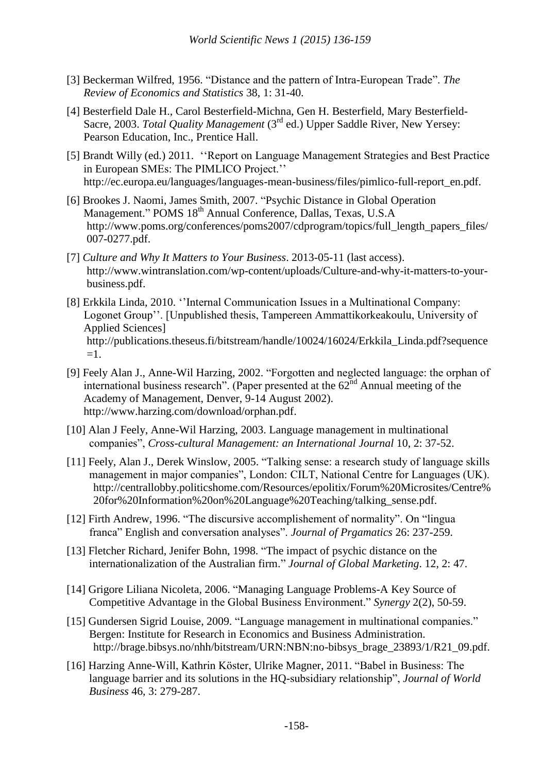- [3] Beckerman Wilfred, 1956. "Distance and the pattern of Intra-European Trade". *The Review of Economics and Statistics* 38, 1: 31-40.
- [4] Besterfield Dale H., Carol Besterfield-Michna, Gen H. Besterfield, Mary Besterfield- Sacre, 2003. *Total Quality Management* (3rd ed.) Upper Saddle River, New Yersey: Pearson Education, Inc., Prentice Hall.
- [5] Brandt Willy (ed.) 2011. ""Report on Language Management Strategies and Best Practice in European SMEs: The PIMLICO Project." http://ec.europa.eu/languages/languages-mean-business/files/pimlico-full-report\_en.pdf.
- [6] Brookes J. Naomi, James Smith, 2007. "Psychic Distance in Global Operation Management." POMS 18<sup>th</sup> Annual Conference, Dallas, Texas, U.S.A http://www.poms.org/conferences/poms2007/cdprogram/topics/full\_length\_papers\_files/ 007-0277.pdf.
- [7] *Culture and Why It Matters to Your Business*. 2013-05-11 (last access). http://www.wintranslation.com/wp-content/uploads/Culture-and-why-it-matters-to-yourbusiness.pdf.
- [8] Erkkila Linda, 2010. "Internal Communication Issues in a Multinational Company: Logonet Group". [Unpublished thesis, Tampereen Ammattikorkeakoulu, University of Applied Sciences] http://publications.theseus.fi/bitstream/handle/10024/16024/Erkkila\_Linda.pdf?sequence  $=1$ .
- [9] Feely Alan J., Anne-Wil Harzing, 2002. "Forgotten and neglected language: the orphan of international business research". (Paper presented at the  $62<sup>nd</sup>$  Annual meeting of the Academy of Management, Denver, 9-14 August 2002). http://www.harzing.com/download/orphan.pdf.
- [10] Alan J Feely, Anne-Wil Harzing, 2003. Language management in multinational companies", *Cross-cultural Management: an International Journal* 10, 2: 37-52.
- [11] Feely, Alan J., Derek Winslow, 2005. "Talking sense: a research study of language skills management in major companies", London: CILT, National Centre for Languages (UK). http://centrallobby.politicshome.com/Resources/epolitix/Forum%20Microsites/Centre% 20for%20Information%20on%20Language%20Teaching/talking\_sense.pdf.
- [12] Firth Andrew, 1996. "The discursive accomplishement of normality". On "lingua franca" English and conversation analyses". *Journal of Prgamatics* 26: 237-259.
- [13] Fletcher Richard, Jenifer Bohn, 1998. "The impact of psychic distance on the internationalization of the Australian firm." *Journal of Global Marketing*. 12, 2: 47.
- [14] Grigore Liliana Nicoleta, 2006. "Managing Language Problems-A Key Source of Competitive Advantage in the Global Business Environment." *Synergy* 2(2), 50-59.
- [15] Gundersen Sigrid Louise, 2009. "Language management in multinational companies." Bergen: Institute for Research in Economics and Business Administration. http://brage.bibsys.no/nhh/bitstream/URN:NBN:no-bibsys\_brage\_23893/1/R21\_09.pdf.
- [16] Harzing Anne-Will, Kathrin Köster, Ulrike Magner, 2011. "Babel in Business: The language barrier and its solutions in the HQ-subsidiary relationship", *Journal of World Business* 46, 3: 279-287.